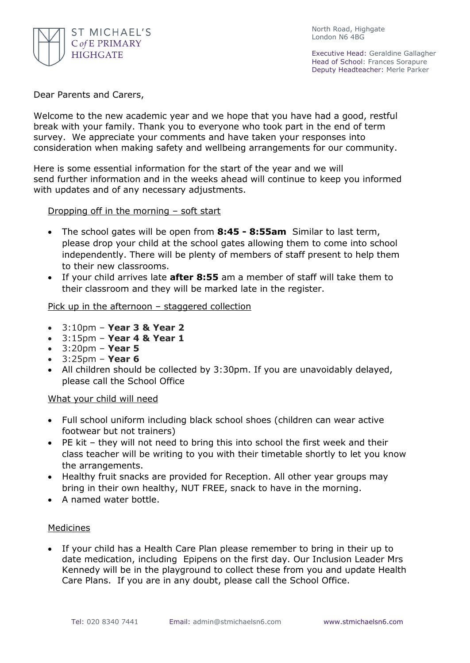

North Road, Highgate London N6 4BG

Executive Head: Geraldine Gallagher Head of School: Frances Sorapure Deputy Headteacher: Merle Parker

Dear Parents and Carers,

Welcome to the new academic year and we hope that you have had a good, restful break with your family. Thank you to everyone who took part in the end of term survey. We appreciate your comments and have taken your responses into consideration when making safety and wellbeing arrangements for our community.

Here is some essential information for the start of the year and we will send further information and in the weeks ahead will continue to keep you informed with updates and of any necessary adjustments.

Dropping off in the morning – soft start

- The school gates will be open from **8:45 - 8:55am** Similar to last term, please drop your child at the school gates allowing them to come into school independently. There will be plenty of members of staff present to help them to their new classrooms.
- If your child arrives late **after 8:55** am a member of staff will take them to their classroom and they will be marked late in the register.

## Pick up in the afternoon – staggered collection

- 3:10pm **Year 3 & Year 2**
- 3:15pm **Year 4 & Year 1**
- 3:20pm **Year 5**
- 3:25pm **Year 6**
- All children should be collected by 3:30pm. If you are unavoidably delayed, please call the School Office

## What your child will need

- Full school uniform including black school shoes (children can wear active footwear but not trainers)
- PE kit they will not need to bring this into school the first week and their class teacher will be writing to you with their timetable shortly to let you know the arrangements.
- Healthy fruit snacks are provided for Reception. All other year groups may bring in their own healthy, NUT FREE, snack to have in the morning.
- A named water bottle.

## **Medicines**

 If your child has a Health Care Plan please remember to bring in their up to date medication, including Epipens on the first day. Our Inclusion Leader Mrs Kennedy will be in the playground to collect these from you and update Health Care Plans. If you are in any doubt, please call the School Office.